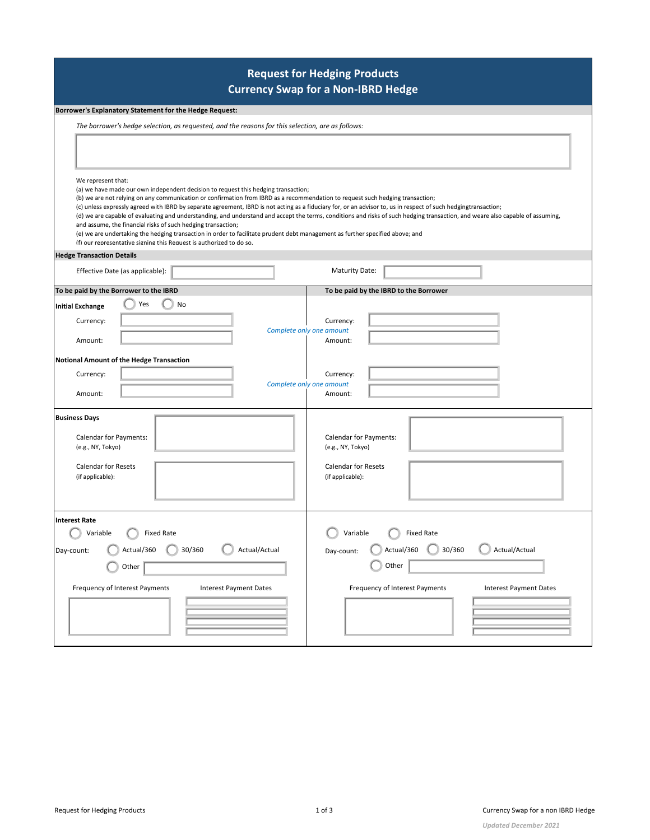| <b>Request for Hedging Products</b><br><b>Currency Swap for a Non-IBRD Hedge</b>                                                                                                                                                                                                                                                                                                                                                                                                                                                                                                                                                                                                      |                                                                                                                                                                                                                                  |  |  |  |  |
|---------------------------------------------------------------------------------------------------------------------------------------------------------------------------------------------------------------------------------------------------------------------------------------------------------------------------------------------------------------------------------------------------------------------------------------------------------------------------------------------------------------------------------------------------------------------------------------------------------------------------------------------------------------------------------------|----------------------------------------------------------------------------------------------------------------------------------------------------------------------------------------------------------------------------------|--|--|--|--|
| Borrower's Explanatory Statement for the Hedge Request:                                                                                                                                                                                                                                                                                                                                                                                                                                                                                                                                                                                                                               |                                                                                                                                                                                                                                  |  |  |  |  |
| The borrower's hedge selection, as requested, and the reasons for this selection, are as follows:                                                                                                                                                                                                                                                                                                                                                                                                                                                                                                                                                                                     |                                                                                                                                                                                                                                  |  |  |  |  |
|                                                                                                                                                                                                                                                                                                                                                                                                                                                                                                                                                                                                                                                                                       |                                                                                                                                                                                                                                  |  |  |  |  |
| We represent that:<br>(a) we have made our own independent decision to request this hedging transaction;<br>(b) we are not relying on any communication or confirmation from IBRD as a recommendation to request such hedging transaction;<br>(c) unless expressly agreed with IBRD by separate agreement, IBRD is not acting as a fiduciary for, or an advisor to, us in respect of such hedgingtransaction;<br>and assume, the financial risks of such hedging transaction;<br>(e) we are undertaking the hedging transaction in order to facilitate prudent debt management as further specified above; and<br>(f) our representative signing this Request is authorized to do so. | (d) we are capable of evaluating and understanding, and understand and accept the terms, conditions and risks of such hedging transaction, and weare also capable of assuming,                                                   |  |  |  |  |
| <b>Hedge Transaction Details</b>                                                                                                                                                                                                                                                                                                                                                                                                                                                                                                                                                                                                                                                      |                                                                                                                                                                                                                                  |  |  |  |  |
| Effective Date (as applicable):                                                                                                                                                                                                                                                                                                                                                                                                                                                                                                                                                                                                                                                       | <b>Maturity Date:</b>                                                                                                                                                                                                            |  |  |  |  |
| To be paid by the Borrower to the IBRD                                                                                                                                                                                                                                                                                                                                                                                                                                                                                                                                                                                                                                                | To be paid by the IBRD to the Borrower                                                                                                                                                                                           |  |  |  |  |
| No<br>Yes<br><b>Initial Exchange</b><br>Currency:<br>Amount:                                                                                                                                                                                                                                                                                                                                                                                                                                                                                                                                                                                                                          | Currency:<br>Complete only one amount<br>Amount:                                                                                                                                                                                 |  |  |  |  |
| <b>Notional Amount of the Hedge Transaction</b><br>Currency:<br>Amount:                                                                                                                                                                                                                                                                                                                                                                                                                                                                                                                                                                                                               | Currency:<br>Complete only one amount<br>Amount:                                                                                                                                                                                 |  |  |  |  |
| <b>Business Days</b><br>Calendar for Payments:<br>(e.g., NY, Tokyo)<br><b>Calendar for Resets</b><br>(if applicable):                                                                                                                                                                                                                                                                                                                                                                                                                                                                                                                                                                 | Calendar for Payments:<br>(e.g., NY, Tokyo)<br><b>Calendar for Resets</b><br>(if applicable):                                                                                                                                    |  |  |  |  |
| <b>Interest Rate</b><br>Variable<br>Sixed Rate<br>◡<br>30/360<br>Actual/360<br>Actual/Actual<br>Day-count:<br>Other<br>Frequency of Interest Payments<br><b>Interest Payment Dates</b>                                                                                                                                                                                                                                                                                                                                                                                                                                                                                                | $\bigcirc$ Variable<br>$\bigcirc$ Fixed Rate<br>Actual/360<br>$\left( \begin{array}{c} \end{array} \right)$<br>30/360<br>Actual/Actual<br>Day-count:<br>Other<br>Frequency of Interest Payments<br><b>Interest Payment Dates</b> |  |  |  |  |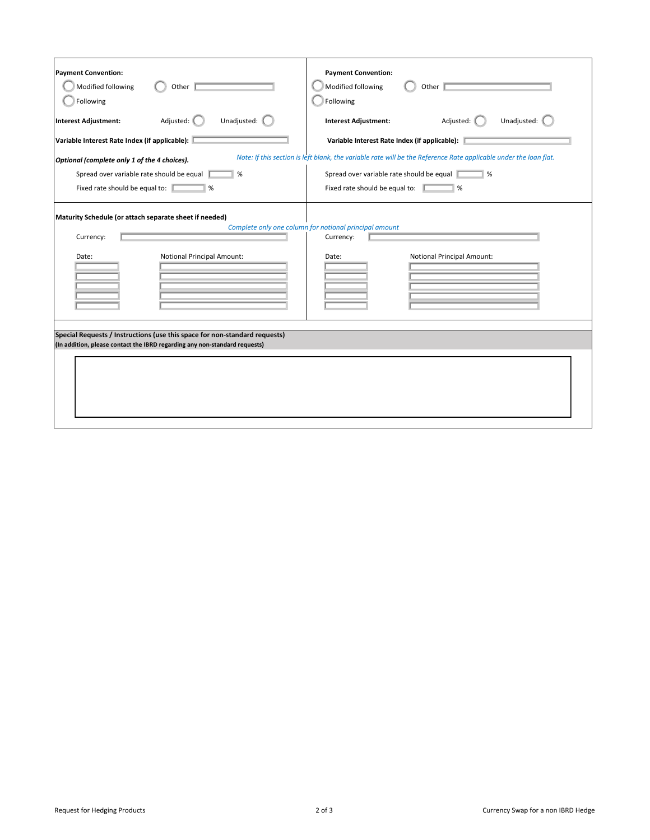| <b>Payment Convention:</b>                                                                                                                 |  |  |  |  |
|--------------------------------------------------------------------------------------------------------------------------------------------|--|--|--|--|
| Modified following<br>Other                                                                                                                |  |  |  |  |
| Following                                                                                                                                  |  |  |  |  |
| Unadjusted:<br><b>Interest Adjustment:</b><br>Adjusted:                                                                                    |  |  |  |  |
| Variable Interest Rate Index (if applicable):                                                                                              |  |  |  |  |
| Note: If this section is left blank, the variable rate will be the Reference Rate applicable under the loan flat.                          |  |  |  |  |
| Spread over variable rate should be equal<br>$\frac{9}{6}$                                                                                 |  |  |  |  |
| Fixed rate should be equal to:<br>%                                                                                                        |  |  |  |  |
| Maturity Schedule (or attach separate sheet if needed)<br>Complete only one column for notional principal amount<br>Currency:<br>Currency: |  |  |  |  |
| <b>Notional Principal Amount:</b><br>Date:                                                                                                 |  |  |  |  |
|                                                                                                                                            |  |  |  |  |
|                                                                                                                                            |  |  |  |  |
|                                                                                                                                            |  |  |  |  |
|                                                                                                                                            |  |  |  |  |